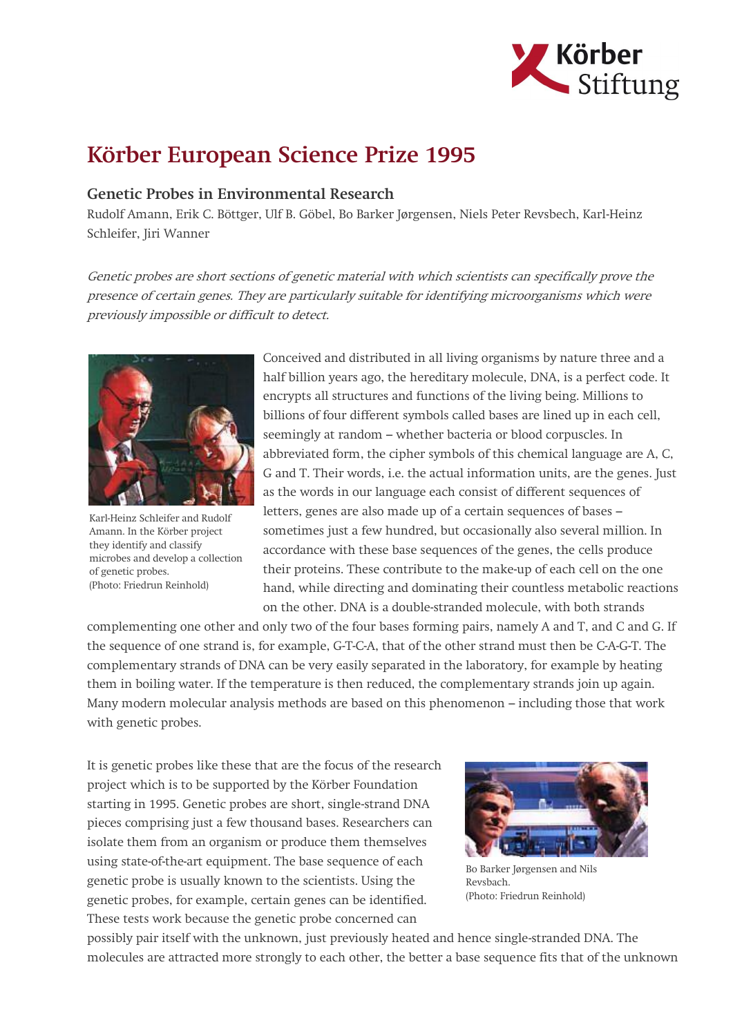

## Körber European Science Prize 1995

## Genetic Probes in Environmental Research

Rudolf Amann, Erik C. Böttger, Ulf B. Göbel, Bo Barker Jørgensen, Niels Peter Revsbech, Karl-Heinz Schleifer, Jiri Wanner

Genetic probes are short sections of genetic material with which scientists can specifically prove the presence of certain genes. They are particularly suitable for identifying microorganisms which were previously impossible or difficult to detect.



Karl-Heinz Schleifer and Rudolf Amann. In the Körber project they identify and classify microbes and develop a collection of genetic probes. (Photo: Friedrun Reinhold)

Conceived and distributed in all living organisms by nature three and a half billion years ago, the hereditary molecule, DNA, is a perfect code. It encrypts all structures and functions of the living being. Millions to billions of four different symbols called bases are lined up in each cell, seemingly at random – whether bacteria or blood corpuscles. In abbreviated form, the cipher symbols of this chemical language are A, C, G and T. Their words, i.e. the actual information units, are the genes. Just as the words in our language each consist of different sequences of letters, genes are also made up of a certain sequences of bases – sometimes just a few hundred, but occasionally also several million. In accordance with these base sequences of the genes, the cells produce their proteins. These contribute to the make-up of each cell on the one hand, while directing and dominating their countless metabolic reactions on the other. DNA is a double-stranded molecule, with both strands

complementing one other and only two of the four bases forming pairs, namely A and T, and C and G. If the sequence of one strand is, for example, G-T-C-A, that of the other strand must then be C-A-G-T. The complementary strands of DNA can be very easily separated in the laboratory, for example by heating them in boiling water. If the temperature is then reduced, the complementary strands join up again. Many modern molecular analysis methods are based on this phenomenon – including those that work with genetic probes.

It is genetic probes like these that are the focus of the research project which is to be supported by the Körber Foundation starting in 1995. Genetic probes are short, single-strand DNA pieces comprising just a few thousand bases. Researchers can isolate them from an organism or produce them themselves using state-of-the-art equipment. The base sequence of each genetic probe is usually known to the scientists. Using the genetic probes, for example, certain genes can be identified. These tests work because the genetic probe concerned can



Bo Barker Jørgensen and Nils Revsbach. (Photo: Friedrun Reinhold)

possibly pair itself with the unknown, just previously heated and hence single-stranded DNA. The molecules are attracted more strongly to each other, the better a base sequence fits that of the unknown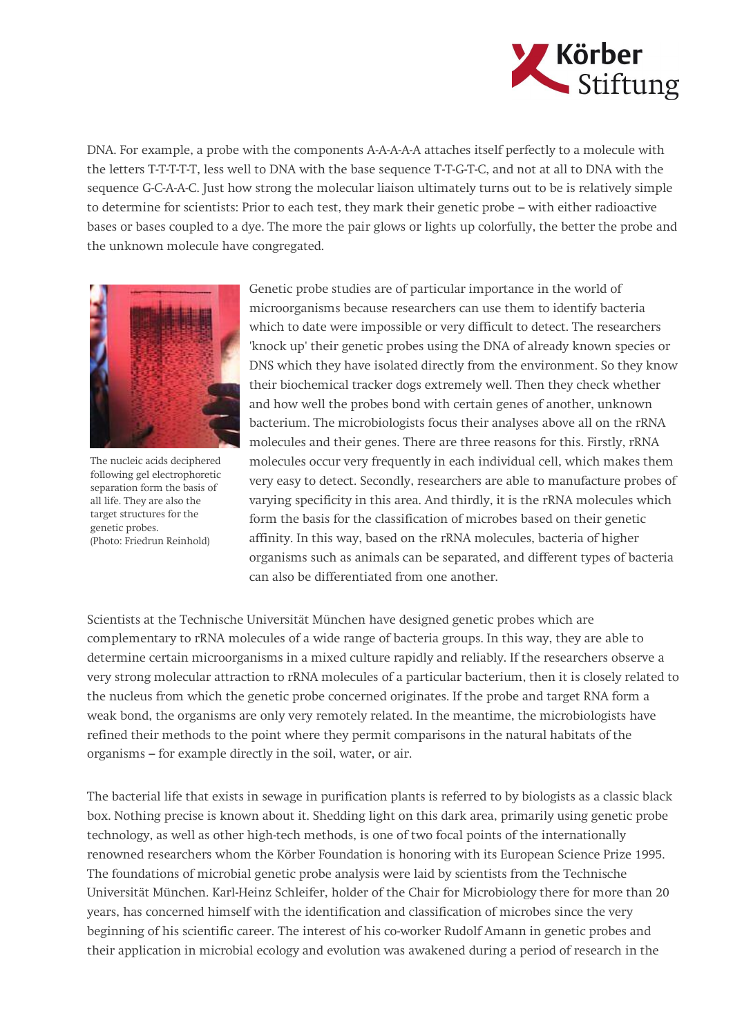

DNA. For example, a probe with the components A-A-A-A-A attaches itself perfectly to a molecule with the letters T-T-T-T-T, less well to DNA with the base sequence T-T-G-T-C, and not at all to DNA with the sequence G-C-A-A-C. Just how strong the molecular liaison ultimately turns out to be is relatively simple to determine for scientists: Prior to each test, they mark their genetic probe – with either radioactive bases or bases coupled to a dye. The more the pair glows or lights up colorfully, the better the probe and the unknown molecule have congregated.



The nucleic acids deciphered following gel electrophoretic separation form the basis of all life. They are also the target structures for the genetic probes. (Photo: Friedrun Reinhold)

Genetic probe studies are of particular importance in the world of microorganisms because researchers can use them to identify bacteria which to date were impossible or very difficult to detect. The researchers 'knock up' their genetic probes using the DNA of already known species or DNS which they have isolated directly from the environment. So they know their biochemical tracker dogs extremely well. Then they check whether and how well the probes bond with certain genes of another, unknown bacterium. The microbiologists focus their analyses above all on the rRNA molecules and their genes. There are three reasons for this. Firstly, rRNA molecules occur very frequently in each individual cell, which makes them very easy to detect. Secondly, researchers are able to manufacture probes of varying specificity in this area. And thirdly, it is the rRNA molecules which form the basis for the classification of microbes based on their genetic affinity. In this way, based on the rRNA molecules, bacteria of higher organisms such as animals can be separated, and different types of bacteria can also be differentiated from one another.

Scientists at the Technische Universität München have designed genetic probes which are complementary to rRNA molecules of a wide range of bacteria groups. In this way, they are able to determine certain microorganisms in a mixed culture rapidly and reliably. If the researchers observe a very strong molecular attraction to rRNA molecules of a particular bacterium, then it is closely related to the nucleus from which the genetic probe concerned originates. If the probe and target RNA form a weak bond, the organisms are only very remotely related. In the meantime, the microbiologists have refined their methods to the point where they permit comparisons in the natural habitats of the organisms – for example directly in the soil, water, or air.

The bacterial life that exists in sewage in purification plants is referred to by biologists as a classic black box. Nothing precise is known about it. Shedding light on this dark area, primarily using genetic probe technology, as well as other high-tech methods, is one of two focal points of the internationally renowned researchers whom the Körber Foundation is honoring with its European Science Prize 1995. The foundations of microbial genetic probe analysis were laid by scientists from the Technische Universität München. Karl-Heinz Schleifer, holder of the Chair for Microbiology there for more than 20 years, has concerned himself with the identification and classification of microbes since the very beginning of his scientific career. The interest of his co-worker Rudolf Amann in genetic probes and their application in microbial ecology and evolution was awakened during a period of research in the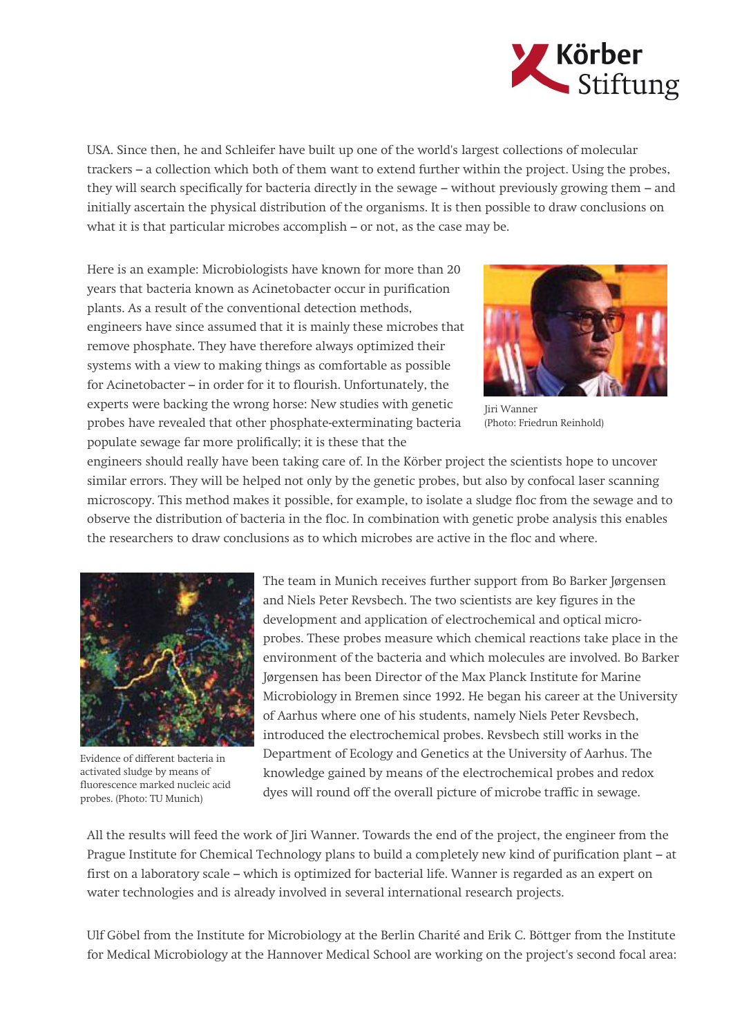

USA. Since then, he and Schleifer have built up one of the world's largest collections of molecular trackers – a collection which both of them want to extend further within the project. Using the probes, they will search specifically for bacteria directly in the sewage – without previously growing them – and initially ascertain the physical distribution of the organisms. It is then possible to draw conclusions on what it is that particular microbes accomplish – or not, as the case may be.

Here is an example: Microbiologists have known for more than 20 years that bacteria known as Acinetobacter occur in purification plants. As a result of the conventional detection methods, engineers have since assumed that it is mainly these microbes that remove phosphate. They have therefore always optimized their systems with a view to making things as comfortable as possible for Acinetobacter – in order for it to flourish. Unfortunately, the experts were backing the wrong horse: New studies with genetic probes have revealed that other phosphate-exterminating bacteria populate sewage far more prolifically; it is these that the



Jiri Wanner (Photo: Friedrun Reinhold)

engineers should really have been taking care of. In the Körber project the scientists hope to uncover similar errors. They will be helped not only by the genetic probes, but also by confocal laser scanning microscopy. This method makes it possible, for example, to isolate a sludge floc from the sewage and to observe the distribution of bacteria in the floc. In combination with genetic probe analysis this enables the researchers to draw conclusions as to which microbes are active in the floc and where.



Evidence of different bacteria in activated sludge by means of fluorescence marked nucleic acid probes. (Photo: TU Munich)

The team in Munich receives further support from Bo Barker Jørgensen and Niels Peter Revsbech. The two scientists are key figures in the development and application of electrochemical and optical microprobes. These probes measure which chemical reactions take place in the environment of the bacteria and which molecules are involved. Bo Barker Jørgensen has been Director of the Max Planck Institute for Marine Microbiology in Bremen since 1992. He began his career at the University of Aarhus where one of his students, namely Niels Peter Revsbech, introduced the electrochemical probes. Revsbech still works in the Department of Ecology and Genetics at the University of Aarhus. The knowledge gained by means of the electrochemical probes and redox dyes will round off the overall picture of microbe traffic in sewage.

All the results will feed the work of Jiri Wanner. Towards the end of the project, the engineer from the Prague Institute for Chemical Technology plans to build a completely new kind of purification plant – at first on a laboratory scale – which is optimized for bacterial life. Wanner is regarded as an expert on water technologies and is already involved in several international research projects.

Ulf Göbel from the Institute for Microbiology at the Berlin Charité and Erik C. Böttger from the Institute for Medical Microbiology at the Hannover Medical School are working on the project's second focal area: